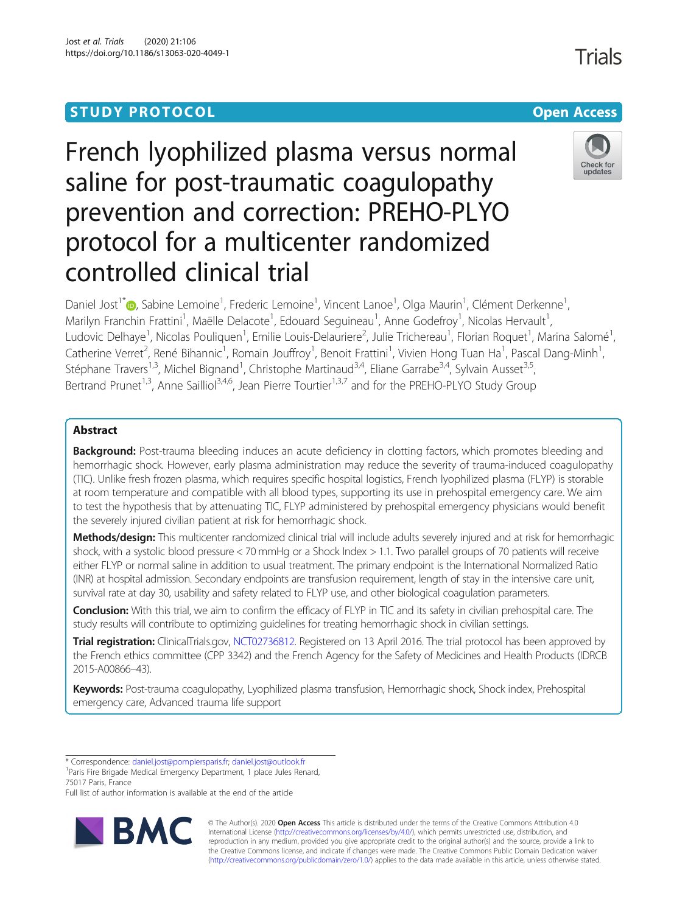# **STUDY PROTOCOL CONSUMING THE RESERVE ACCESS**

# French lyophilized plasma versus normal saline for post-traumatic coagulopathy prevention and correction: PREHO-PLYO protocol for a multicenter randomized controlled clinical trial

Daniel Jost<sup>1\*</sup>®[,](http://orcid.org/0000-0002-6046-1234) Sabine Lemoine<sup>1</sup>, Frederic Lemoine<sup>1</sup>, Vincent Lanoe<sup>1</sup>, Olga Maurin<sup>1</sup>, Clément Derkenne<sup>1</sup> , Marilyn Franchin Frattini<sup>1</sup>, Maëlle Delacote<sup>1</sup>, Edouard Seguineau<sup>1</sup>, Anne Godefroy<sup>1</sup>, Nicolas Hervault<sup>1</sup> , Ludovic Delhaye<sup>1</sup>, Nicolas Pouliquen<sup>1</sup>, Emilie Louis-Delauriere<sup>2</sup>, Julie Trichereau<sup>1</sup>, Florian Roquet<sup>1</sup>, Marina Salomé<sup>1</sup> , Catherine Verret<sup>2</sup>, René Bihannic<sup>1</sup>, Romain Jouffroy<sup>1</sup>, Benoit Frattini<sup>1</sup>, Vivien Hong Tuan Ha<sup>1</sup>, Pascal Dang-Minh<sup>1</sup> , Stéphane Travers<sup>1,3</sup>, Michel Bignand<sup>1</sup>, Christophe Martinaud<sup>3,4</sup>, Eliane Garrabe<sup>3,4</sup>, Sylvain Ausset<sup>3,5</sup>, Bertrand Prunet<sup>1,3</sup>, Anne Sailliol<sup>3,4,6</sup>, Jean Pierre Tourtier<sup>1,3,7</sup> and for the PREHO-PLYO Study Group

# Abstract

Background: Post-trauma bleeding induces an acute deficiency in clotting factors, which promotes bleeding and hemorrhagic shock. However, early plasma administration may reduce the severity of trauma-induced coagulopathy (TIC). Unlike fresh frozen plasma, which requires specific hospital logistics, French lyophilized plasma (FLYP) is storable at room temperature and compatible with all blood types, supporting its use in prehospital emergency care. We aim to test the hypothesis that by attenuating TIC, FLYP administered by prehospital emergency physicians would benefit the severely injured civilian patient at risk for hemorrhagic shock.

Methods/design: This multicenter randomized clinical trial will include adults severely injured and at risk for hemorrhagic shock, with a systolic blood pressure < 70 mmHg or a Shock Index > 1.1. Two parallel groups of 70 patients will receive either FLYP or normal saline in addition to usual treatment. The primary endpoint is the International Normalized Ratio (INR) at hospital admission. Secondary endpoints are transfusion requirement, length of stay in the intensive care unit, survival rate at day 30, usability and safety related to FLYP use, and other biological coagulation parameters.

Conclusion: With this trial, we aim to confirm the efficacy of FLYP in TIC and its safety in civilian prehospital care. The study results will contribute to optimizing guidelines for treating hemorrhagic shock in civilian settings.

Trial registration: ClinicalTrials.gov, [NCT02736812.](https://clinicaltrials.gov/ct2/show/nct02736812) Registered on 13 April 2016. The trial protocol has been approved by the French ethics committee (CPP 3342) and the French Agency for the Safety of Medicines and Health Products (IDRCB 2015-A00866–43).

Keywords: Post-trauma coagulopathy, Lyophilized plasma transfusion, Hemorrhagic shock, Shock index, Prehospital emergency care, Advanced trauma life support

<sup>1</sup> Paris Fire Brigade Medical Emergency Department, 1 place Jules Renard, 75017 Paris, France

Full list of author information is available at the end of the article

© The Author(s). 2020 **Open Access** This article is distributed under the terms of the Creative Commons Attribution 4.0 International License [\(http://creativecommons.org/licenses/by/4.0/](http://creativecommons.org/licenses/by/4.0/)), which permits unrestricted use, distribution, and reproduction in any medium, provided you give appropriate credit to the original author(s) and the source, provide a link to the Creative Commons license, and indicate if changes were made. The Creative Commons Public Domain Dedication waiver [\(http://creativecommons.org/publicdomain/zero/1.0/](http://creativecommons.org/publicdomain/zero/1.0/)) applies to the data made available in this article, unless otherwise stated.





<sup>\*</sup> Correspondence: [daniel.jost@pompiersparis.fr](mailto:daniel.jost@pompiersparis.fr); [daniel.jost@outlook.fr](mailto:daniel.jost@outlook.fr) <sup>1</sup>

Jost et al. Trials (2020) 21:106 https://doi.org/10.1186/s13063-020-4049-1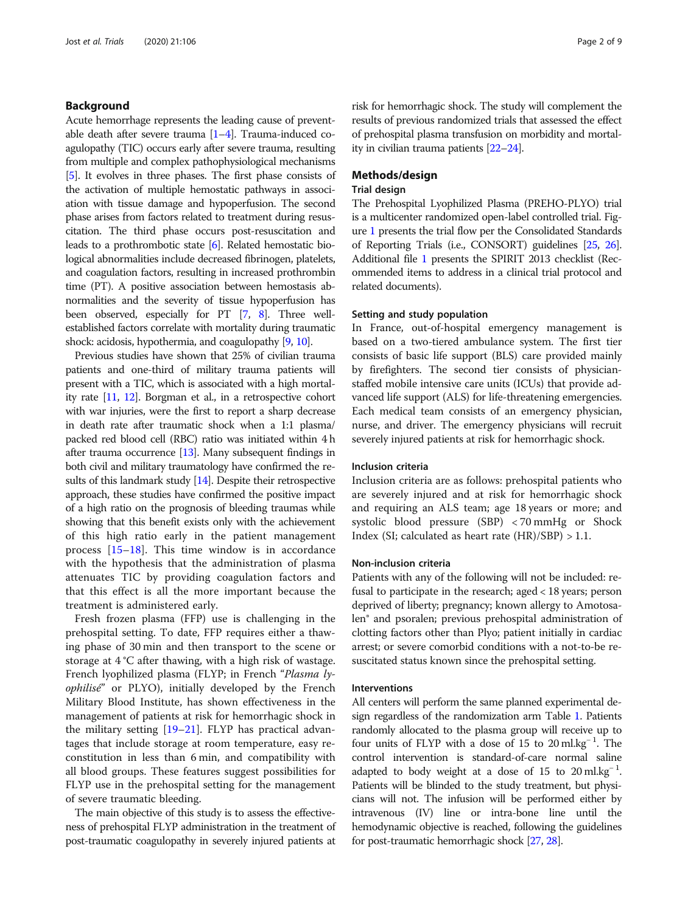# Background

Acute hemorrhage represents the leading cause of preventable death after severe trauma  $[1-4]$  $[1-4]$  $[1-4]$  $[1-4]$ . Trauma-induced coagulopathy (TIC) occurs early after severe trauma, resulting from multiple and complex pathophysiological mechanisms [[5](#page-7-0)]. It evolves in three phases. The first phase consists of the activation of multiple hemostatic pathways in association with tissue damage and hypoperfusion. The second phase arises from factors related to treatment during resuscitation. The third phase occurs post-resuscitation and leads to a prothrombotic state [\[6](#page-7-0)]. Related hemostatic biological abnormalities include decreased fibrinogen, platelets, and coagulation factors, resulting in increased prothrombin time (PT). A positive association between hemostasis abnormalities and the severity of tissue hypoperfusion has been observed, especially for PT [\[7,](#page-7-0) [8\]](#page-7-0). Three wellestablished factors correlate with mortality during traumatic shock: acidosis, hypothermia, and coagulopathy [\[9,](#page-7-0) [10\]](#page-7-0).

Previous studies have shown that 25% of civilian trauma patients and one-third of military trauma patients will present with a TIC, which is associated with a high mortality rate [\[11](#page-7-0), [12\]](#page-7-0). Borgman et al., in a retrospective cohort with war injuries, were the first to report a sharp decrease in death rate after traumatic shock when a 1:1 plasma/ packed red blood cell (RBC) ratio was initiated within 4 h after trauma occurrence [\[13\]](#page-7-0). Many subsequent findings in both civil and military traumatology have confirmed the results of this landmark study [\[14\]](#page-7-0). Despite their retrospective approach, these studies have confirmed the positive impact of a high ratio on the prognosis of bleeding traumas while showing that this benefit exists only with the achievement of this high ratio early in the patient management process [\[15](#page-7-0)–[18](#page-7-0)]. This time window is in accordance with the hypothesis that the administration of plasma attenuates TIC by providing coagulation factors and that this effect is all the more important because the treatment is administered early.

Fresh frozen plasma (FFP) use is challenging in the prehospital setting. To date, FFP requires either a thawing phase of 30 min and then transport to the scene or storage at 4 °C after thawing, with a high risk of wastage. French lyophilized plasma (FLYP; in French "Plasma lyophilisé" or PLYO), initially developed by the French Military Blood Institute, has shown effectiveness in the management of patients at risk for hemorrhagic shock in the military setting [\[19](#page-7-0)–[21\]](#page-8-0). FLYP has practical advantages that include storage at room temperature, easy reconstitution in less than 6 min, and compatibility with all blood groups. These features suggest possibilities for FLYP use in the prehospital setting for the management of severe traumatic bleeding.

The main objective of this study is to assess the effectiveness of prehospital FLYP administration in the treatment of post-traumatic coagulopathy in severely injured patients at risk for hemorrhagic shock. The study will complement the results of previous randomized trials that assessed the effect of prehospital plasma transfusion on morbidity and mortality in civilian trauma patients [\[22](#page-8-0)–[24\]](#page-8-0).

# Methods/design

# Trial design

The Prehospital Lyophilized Plasma (PREHO-PLYO) trial is a multicenter randomized open-label controlled trial. Figure [1](#page-2-0) presents the trial flow per the Consolidated Standards of Reporting Trials (i.e., CONSORT) guidelines [\[25](#page-8-0), [26](#page-8-0)]. Additional file [1](#page-7-0) presents the SPIRIT 2013 checklist (Recommended items to address in a clinical trial protocol and related documents).

# Setting and study population

In France, out-of-hospital emergency management is based on a two-tiered ambulance system. The first tier consists of basic life support (BLS) care provided mainly by firefighters. The second tier consists of physicianstaffed mobile intensive care units (ICUs) that provide advanced life support (ALS) for life-threatening emergencies. Each medical team consists of an emergency physician, nurse, and driver. The emergency physicians will recruit severely injured patients at risk for hemorrhagic shock.

# Inclusion criteria

Inclusion criteria are as follows: prehospital patients who are severely injured and at risk for hemorrhagic shock and requiring an ALS team; age 18 years or more; and systolic blood pressure (SBP) < 70 mmHg or Shock Index (SI; calculated as heart rate  $(HR)/SBP$ ) > 1.1.

#### Non-inclusion criteria

Patients with any of the following will not be included: refusal to participate in the research; aged < 18 years; person deprived of liberty; pregnancy; known allergy to Amotosalen® and psoralen; previous prehospital administration of clotting factors other than Plyo; patient initially in cardiac arrest; or severe comorbid conditions with a not-to-be resuscitated status known since the prehospital setting.

#### Interventions

All centers will perform the same planned experimental design regardless of the randomization arm Table [1](#page-2-0). Patients randomly allocated to the plasma group will receive up to four units of FLYP with a dose of 15 to 20 ml.kg<sup>-1</sup>. The control intervention is standard-of-care normal saline adapted to body weight at a dose of  $15$  to  $20 \text{ ml} \cdot \text{kg}^{-1}$ . Patients will be blinded to the study treatment, but physicians will not. The infusion will be performed either by intravenous (IV) line or intra-bone line until the hemodynamic objective is reached, following the guidelines for post-traumatic hemorrhagic shock [\[27,](#page-8-0) [28\]](#page-8-0).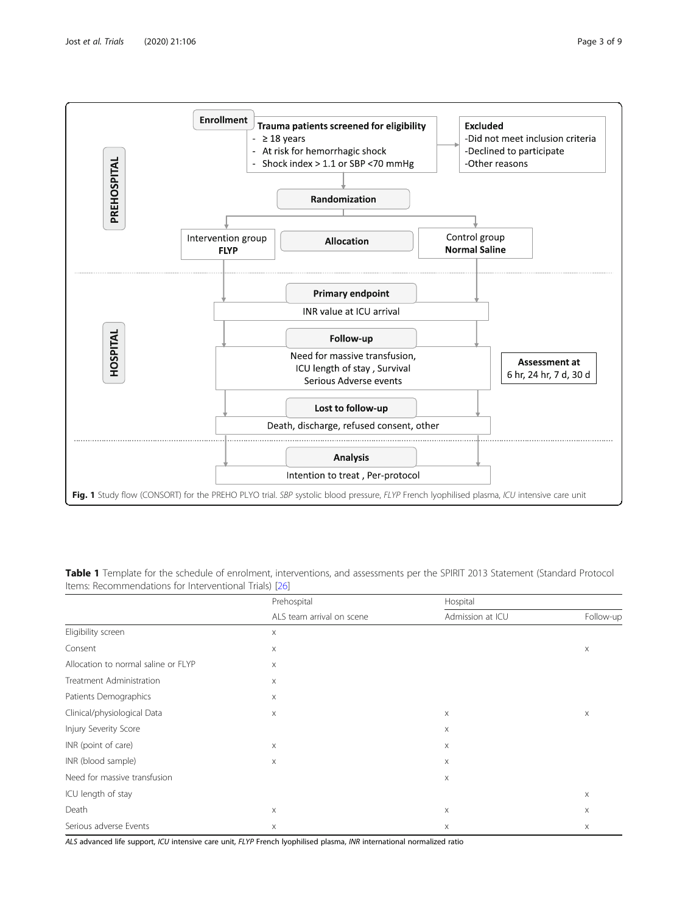<span id="page-2-0"></span>

Table 1 Template for the schedule of enrolment, interventions, and assessments per the SPIRIT 2013 Statement (Standard Protocol Items: Recommendations for Interventional Trials) [\[26\]](#page-8-0)

|                                     | Prehospital<br>ALS team arrival on scene | Hospital                  |                           |
|-------------------------------------|------------------------------------------|---------------------------|---------------------------|
|                                     |                                          | Admission at ICU          | Follow-up                 |
| Eligibility screen                  | X                                        |                           |                           |
| Consent                             | X                                        |                           | $\boldsymbol{\mathsf{X}}$ |
| Allocation to normal saline or FLYP | $\boldsymbol{\times}$                    |                           |                           |
| Treatment Administration            | X                                        |                           |                           |
| Patients Demographics               | $\boldsymbol{\times}$                    |                           |                           |
| Clinical/physiological Data         | $\boldsymbol{\times}$                    | $\mathsf X$               | X                         |
| Injury Severity Score               |                                          | $\mathsf X$               |                           |
| INR (point of care)                 | $\boldsymbol{\times}$                    | $\mathsf X$               |                           |
| INR (blood sample)                  | $\boldsymbol{\times}$                    | Χ                         |                           |
| Need for massive transfusion        |                                          | $\mathsf X$               |                           |
| ICU length of stay                  |                                          |                           | X                         |
| Death                               | $\mathsf X$                              | $\boldsymbol{\mathsf{X}}$ | X                         |
| Serious adverse Events              | X                                        | Χ                         | X                         |

ALS advanced life support, ICU intensive care unit, FLYP French lyophilised plasma, INR international normalized ratio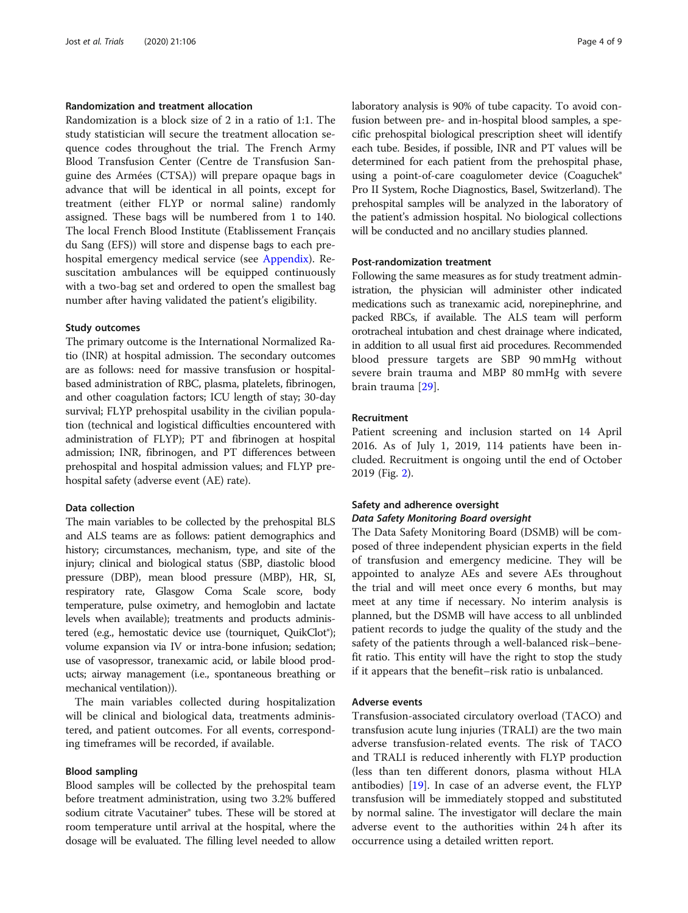# Randomization and treatment allocation

Randomization is a block size of 2 in a ratio of 1:1. The study statistician will secure the treatment allocation sequence codes throughout the trial. The French Army Blood Transfusion Center (Centre de Transfusion Sanguine des Armées (CTSA)) will prepare opaque bags in advance that will be identical in all points, except for treatment (either FLYP or normal saline) randomly assigned. These bags will be numbered from 1 to 140. The local French Blood Institute (Etablissement Français du Sang (EFS)) will store and dispense bags to each prehospital emergency medical service (see [Appendix](#page-6-0)). Resuscitation ambulances will be equipped continuously with a two-bag set and ordered to open the smallest bag number after having validated the patient's eligibility.

#### Study outcomes

The primary outcome is the International Normalized Ratio (INR) at hospital admission. The secondary outcomes are as follows: need for massive transfusion or hospitalbased administration of RBC, plasma, platelets, fibrinogen, and other coagulation factors; ICU length of stay; 30-day survival; FLYP prehospital usability in the civilian population (technical and logistical difficulties encountered with administration of FLYP); PT and fibrinogen at hospital admission; INR, fibrinogen, and PT differences between prehospital and hospital admission values; and FLYP prehospital safety (adverse event (AE) rate).

#### Data collection

The main variables to be collected by the prehospital BLS and ALS teams are as follows: patient demographics and history; circumstances, mechanism, type, and site of the injury; clinical and biological status (SBP, diastolic blood pressure (DBP), mean blood pressure (MBP), HR, SI, respiratory rate, Glasgow Coma Scale score, body temperature, pulse oximetry, and hemoglobin and lactate levels when available); treatments and products administered (e.g., hemostatic device use (tourniquet, QuikClot®); volume expansion via IV or intra-bone infusion; sedation; use of vasopressor, tranexamic acid, or labile blood products; airway management (i.e., spontaneous breathing or mechanical ventilation)).

The main variables collected during hospitalization will be clinical and biological data, treatments administered, and patient outcomes. For all events, corresponding timeframes will be recorded, if available.

#### Blood sampling

Blood samples will be collected by the prehospital team before treatment administration, using two 3.2% buffered sodium citrate Vacutainer® tubes. These will be stored at room temperature until arrival at the hospital, where the dosage will be evaluated. The filling level needed to allow laboratory analysis is 90% of tube capacity. To avoid confusion between pre- and in-hospital blood samples, a specific prehospital biological prescription sheet will identify each tube. Besides, if possible, INR and PT values will be determined for each patient from the prehospital phase, using a point-of-care coagulometer device (Coaguchek® Pro II System, Roche Diagnostics, Basel, Switzerland). The prehospital samples will be analyzed in the laboratory of the patient's admission hospital. No biological collections will be conducted and no ancillary studies planned.

#### Post-randomization treatment

Following the same measures as for study treatment administration, the physician will administer other indicated medications such as tranexamic acid, norepinephrine, and packed RBCs, if available. The ALS team will perform orotracheal intubation and chest drainage where indicated, in addition to all usual first aid procedures. Recommended blood pressure targets are SBP 90 mmHg without severe brain trauma and MBP 80 mmHg with severe brain trauma [\[29](#page-8-0)].

# Recruitment

Patient screening and inclusion started on 14 April 2016. As of July 1, 2019, 114 patients have been included. Recruitment is ongoing until the end of October 2019 (Fig. [2\)](#page-4-0).

# Safety and adherence oversight Data Safety Monitoring Board oversight

The Data Safety Monitoring Board (DSMB) will be composed of three independent physician experts in the field of transfusion and emergency medicine. They will be appointed to analyze AEs and severe AEs throughout the trial and will meet once every 6 months, but may meet at any time if necessary. No interim analysis is planned, but the DSMB will have access to all unblinded patient records to judge the quality of the study and the safety of the patients through a well-balanced risk–benefit ratio. This entity will have the right to stop the study if it appears that the benefit–risk ratio is unbalanced.

## Adverse events

Transfusion-associated circulatory overload (TACO) and transfusion acute lung injuries (TRALI) are the two main adverse transfusion-related events. The risk of TACO and TRALI is reduced inherently with FLYP production (less than ten different donors, plasma without HLA antibodies) [[19\]](#page-7-0). In case of an adverse event, the FLYP transfusion will be immediately stopped and substituted by normal saline. The investigator will declare the main adverse event to the authorities within 24 h after its occurrence using a detailed written report.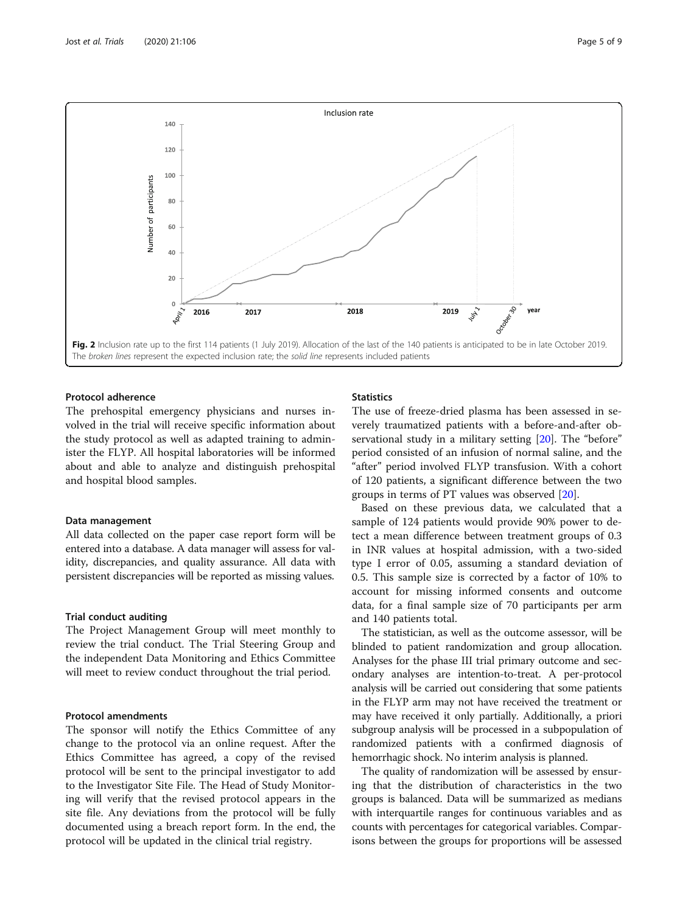<span id="page-4-0"></span>

# Protocol adherence

The prehospital emergency physicians and nurses involved in the trial will receive specific information about the study protocol as well as adapted training to administer the FLYP. All hospital laboratories will be informed about and able to analyze and distinguish prehospital and hospital blood samples.

# Data management

All data collected on the paper case report form will be entered into a database. A data manager will assess for validity, discrepancies, and quality assurance. All data with persistent discrepancies will be reported as missing values.

# Trial conduct auditing

The Project Management Group will meet monthly to review the trial conduct. The Trial Steering Group and the independent Data Monitoring and Ethics Committee will meet to review conduct throughout the trial period.

# Protocol amendments

The sponsor will notify the Ethics Committee of any change to the protocol via an online request. After the Ethics Committee has agreed, a copy of the revised protocol will be sent to the principal investigator to add to the Investigator Site File. The Head of Study Monitoring will verify that the revised protocol appears in the site file. Any deviations from the protocol will be fully documented using a breach report form. In the end, the protocol will be updated in the clinical trial registry.

# **Statistics**

The use of freeze-dried plasma has been assessed in severely traumatized patients with a before-and-after observational study in a military setting [\[20\]](#page-8-0). The "before" period consisted of an infusion of normal saline, and the "after" period involved FLYP transfusion. With a cohort of 120 patients, a significant difference between the two groups in terms of PT values was observed [[20](#page-8-0)].

Based on these previous data, we calculated that a sample of 124 patients would provide 90% power to detect a mean difference between treatment groups of 0.3 in INR values at hospital admission, with a two-sided type I error of 0.05, assuming a standard deviation of 0.5. This sample size is corrected by a factor of 10% to account for missing informed consents and outcome data, for a final sample size of 70 participants per arm and 140 patients total.

The statistician, as well as the outcome assessor, will be blinded to patient randomization and group allocation. Analyses for the phase III trial primary outcome and secondary analyses are intention-to-treat. A per-protocol analysis will be carried out considering that some patients in the FLYP arm may not have received the treatment or may have received it only partially. Additionally, a priori subgroup analysis will be processed in a subpopulation of randomized patients with a confirmed diagnosis of hemorrhagic shock. No interim analysis is planned.

The quality of randomization will be assessed by ensuring that the distribution of characteristics in the two groups is balanced. Data will be summarized as medians with interquartile ranges for continuous variables and as counts with percentages for categorical variables. Comparisons between the groups for proportions will be assessed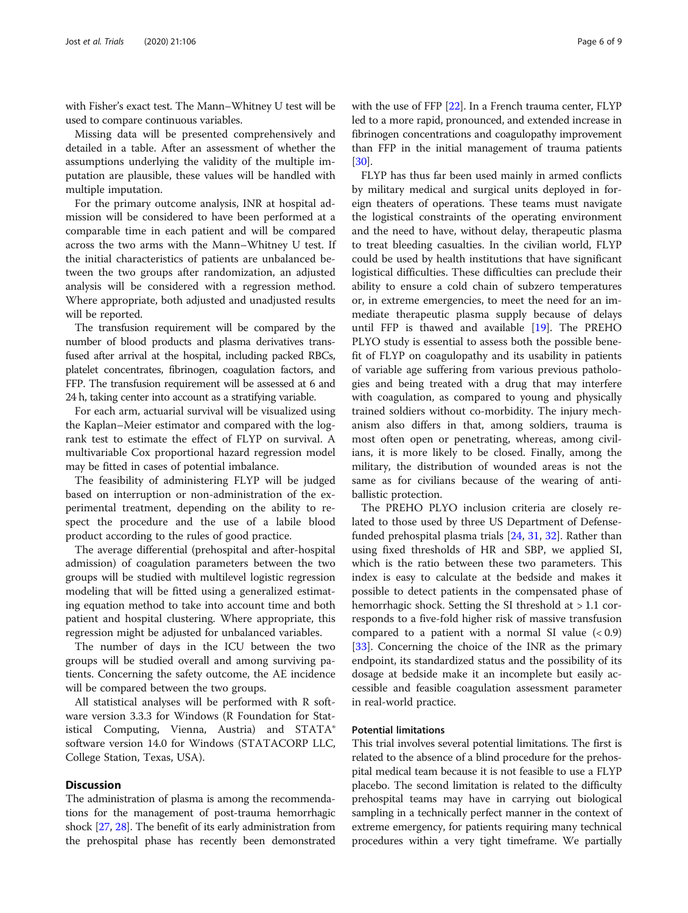with Fisher's exact test. The Mann–Whitney U test will be used to compare continuous variables.

Missing data will be presented comprehensively and detailed in a table. After an assessment of whether the assumptions underlying the validity of the multiple imputation are plausible, these values will be handled with multiple imputation.

For the primary outcome analysis, INR at hospital admission will be considered to have been performed at a comparable time in each patient and will be compared across the two arms with the Mann–Whitney U test. If the initial characteristics of patients are unbalanced between the two groups after randomization, an adjusted analysis will be considered with a regression method. Where appropriate, both adjusted and unadjusted results will be reported.

The transfusion requirement will be compared by the number of blood products and plasma derivatives transfused after arrival at the hospital, including packed RBCs, platelet concentrates, fibrinogen, coagulation factors, and FFP. The transfusion requirement will be assessed at 6 and 24 h, taking center into account as a stratifying variable.

For each arm, actuarial survival will be visualized using the Kaplan–Meier estimator and compared with the logrank test to estimate the effect of FLYP on survival. A multivariable Cox proportional hazard regression model may be fitted in cases of potential imbalance.

The feasibility of administering FLYP will be judged based on interruption or non-administration of the experimental treatment, depending on the ability to respect the procedure and the use of a labile blood product according to the rules of good practice.

The average differential (prehospital and after-hospital admission) of coagulation parameters between the two groups will be studied with multilevel logistic regression modeling that will be fitted using a generalized estimating equation method to take into account time and both patient and hospital clustering. Where appropriate, this regression might be adjusted for unbalanced variables.

The number of days in the ICU between the two groups will be studied overall and among surviving patients. Concerning the safety outcome, the AE incidence will be compared between the two groups.

All statistical analyses will be performed with R software version 3.3.3 for Windows (R Foundation for Statistical Computing, Vienna, Austria) and STATA® software version 14.0 for Windows (STATACORP LLC, College Station, Texas, USA).

# **Discussion**

The administration of plasma is among the recommendations for the management of post-trauma hemorrhagic shock [\[27](#page-8-0), [28\]](#page-8-0). The benefit of its early administration from the prehospital phase has recently been demonstrated

with the use of FFP [[22](#page-8-0)]. In a French trauma center, FLYP led to a more rapid, pronounced, and extended increase in fibrinogen concentrations and coagulopathy improvement than FFP in the initial management of trauma patients [[30](#page-8-0)].

FLYP has thus far been used mainly in armed conflicts by military medical and surgical units deployed in foreign theaters of operations. These teams must navigate the logistical constraints of the operating environment and the need to have, without delay, therapeutic plasma to treat bleeding casualties. In the civilian world, FLYP could be used by health institutions that have significant logistical difficulties. These difficulties can preclude their ability to ensure a cold chain of subzero temperatures or, in extreme emergencies, to meet the need for an immediate therapeutic plasma supply because of delays until FFP is thawed and available [\[19](#page-7-0)]. The PREHO PLYO study is essential to assess both the possible benefit of FLYP on coagulopathy and its usability in patients of variable age suffering from various previous pathologies and being treated with a drug that may interfere with coagulation, as compared to young and physically trained soldiers without co-morbidity. The injury mechanism also differs in that, among soldiers, trauma is most often open or penetrating, whereas, among civilians, it is more likely to be closed. Finally, among the military, the distribution of wounded areas is not the same as for civilians because of the wearing of antiballistic protection.

The PREHO PLYO inclusion criteria are closely related to those used by three US Department of Defensefunded prehospital plasma trials [\[24](#page-8-0), [31](#page-8-0), [32](#page-8-0)]. Rather than using fixed thresholds of HR and SBP, we applied SI, which is the ratio between these two parameters. This index is easy to calculate at the bedside and makes it possible to detect patients in the compensated phase of hemorrhagic shock. Setting the SI threshold at > 1.1 corresponds to a five-fold higher risk of massive transfusion compared to a patient with a normal SI value  $(< 0.9)$ [[33\]](#page-8-0). Concerning the choice of the INR as the primary endpoint, its standardized status and the possibility of its dosage at bedside make it an incomplete but easily accessible and feasible coagulation assessment parameter in real-world practice.

# Potential limitations

This trial involves several potential limitations. The first is related to the absence of a blind procedure for the prehospital medical team because it is not feasible to use a FLYP placebo. The second limitation is related to the difficulty prehospital teams may have in carrying out biological sampling in a technically perfect manner in the context of extreme emergency, for patients requiring many technical procedures within a very tight timeframe. We partially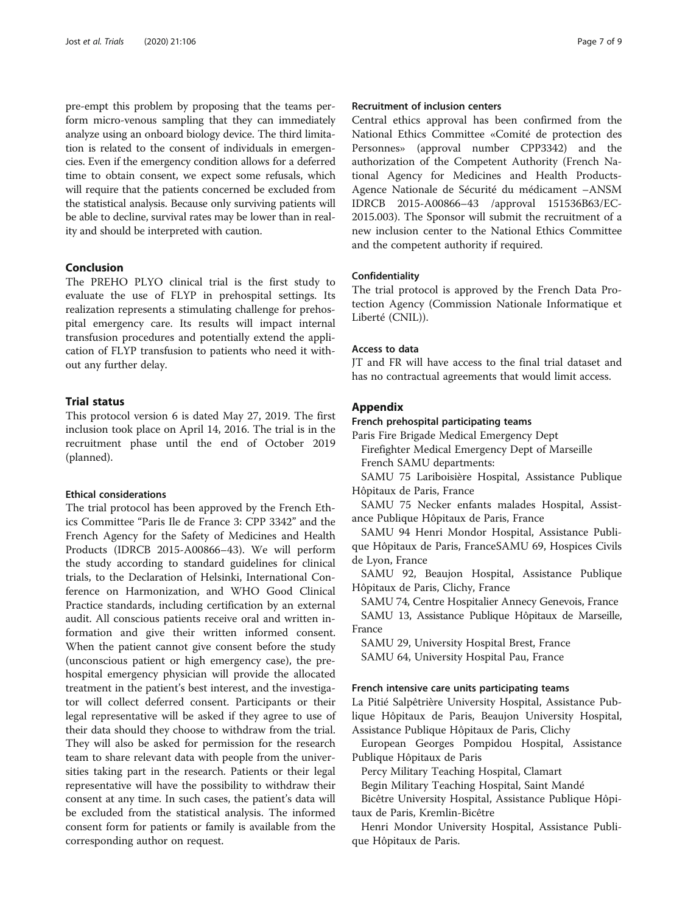<span id="page-6-0"></span>pre-empt this problem by proposing that the teams perform micro-venous sampling that they can immediately analyze using an onboard biology device. The third limitation is related to the consent of individuals in emergencies. Even if the emergency condition allows for a deferred time to obtain consent, we expect some refusals, which will require that the patients concerned be excluded from the statistical analysis. Because only surviving patients will be able to decline, survival rates may be lower than in reality and should be interpreted with caution.

# Conclusion

The PREHO PLYO clinical trial is the first study to evaluate the use of FLYP in prehospital settings. Its realization represents a stimulating challenge for prehospital emergency care. Its results will impact internal transfusion procedures and potentially extend the application of FLYP transfusion to patients who need it without any further delay.

# Trial status

This protocol version 6 is dated May 27, 2019. The first inclusion took place on April 14, 2016. The trial is in the recruitment phase until the end of October 2019 (planned).

# Ethical considerations

The trial protocol has been approved by the French Ethics Committee "Paris Ile de France 3: CPP 3342" and the French Agency for the Safety of Medicines and Health Products (IDRCB 2015-A00866–43). We will perform the study according to standard guidelines for clinical trials, to the Declaration of Helsinki, International Conference on Harmonization, and WHO Good Clinical Practice standards, including certification by an external audit. All conscious patients receive oral and written information and give their written informed consent. When the patient cannot give consent before the study (unconscious patient or high emergency case), the prehospital emergency physician will provide the allocated treatment in the patient's best interest, and the investigator will collect deferred consent. Participants or their legal representative will be asked if they agree to use of their data should they choose to withdraw from the trial. They will also be asked for permission for the research team to share relevant data with people from the universities taking part in the research. Patients or their legal representative will have the possibility to withdraw their consent at any time. In such cases, the patient's data will be excluded from the statistical analysis. The informed consent form for patients or family is available from the corresponding author on request.

# Recruitment of inclusion centers

Central ethics approval has been confirmed from the National Ethics Committee «Comité de protection des Personnes» (approval number CPP3342) and the authorization of the Competent Authority (French National Agency for Medicines and Health Products-Agence Nationale de Sécurité du médicament –ANSM IDRCB 2015-A00866–43 /approval 151536B63/EC-2015.003). The Sponsor will submit the recruitment of a new inclusion center to the National Ethics Committee and the competent authority if required.

# Confidentiality

The trial protocol is approved by the French Data Protection Agency (Commission Nationale Informatique et Liberté (CNIL)).

# Access to data

JT and FR will have access to the final trial dataset and has no contractual agreements that would limit access.

# Appendix

# French prehospital participating teams

Paris Fire Brigade Medical Emergency Dept Firefighter Medical Emergency Dept of Marseille French SAMU departments:

SAMU 75 Lariboisière Hospital, Assistance Publique Hôpitaux de Paris, France

SAMU 75 Necker enfants malades Hospital, Assistance Publique Hôpitaux de Paris, France

SAMU 94 Henri Mondor Hospital, Assistance Publique Hôpitaux de Paris, FranceSAMU 69, Hospices Civils de Lyon, France

SAMU 92, Beaujon Hospital, Assistance Publique Hôpitaux de Paris, Clichy, France

SAMU 74, Centre Hospitalier Annecy Genevois, France SAMU 13, Assistance Publique Hôpitaux de Marseille, France

SAMU 29, University Hospital Brest, France

SAMU 64, University Hospital Pau, France

# French intensive care units participating teams

La Pitié Salpêtrière University Hospital, Assistance Publique Hôpitaux de Paris, Beaujon University Hospital, Assistance Publique Hôpitaux de Paris, Clichy

European Georges Pompidou Hospital, Assistance Publique Hôpitaux de Paris

Percy Military Teaching Hospital, Clamart

Begin Military Teaching Hospital, Saint Mandé

Bicêtre University Hospital, Assistance Publique Hôpitaux de Paris, Kremlin-Bicêtre

Henri Mondor University Hospital, Assistance Publique Hôpitaux de Paris.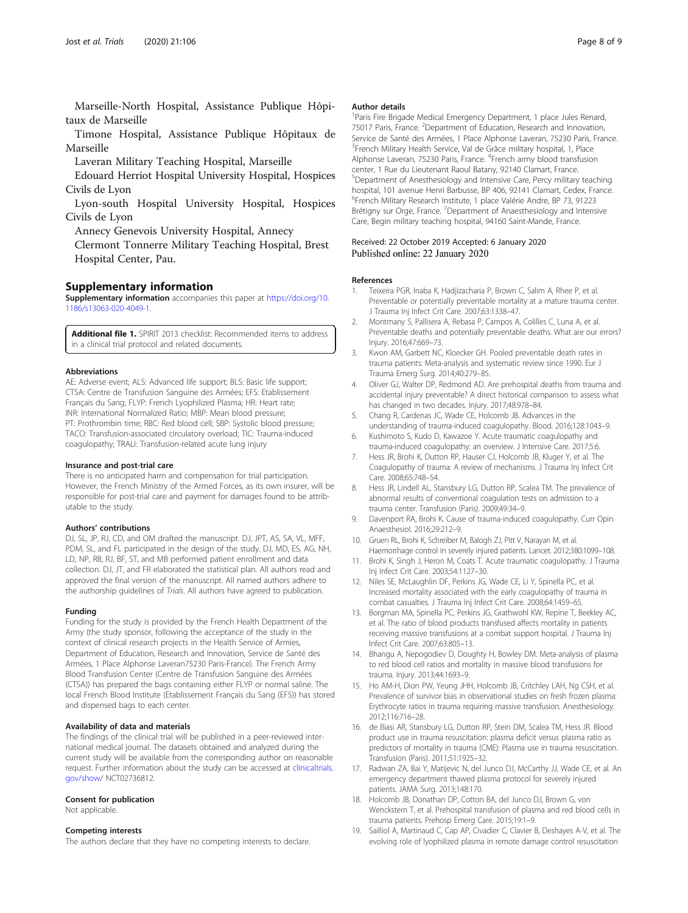<span id="page-7-0"></span>Marseille-North Hospital, Assistance Publique Hôpitaux de Marseille

Timone Hospital, Assistance Publique Hôpitaux de Marseille

Laveran Military Teaching Hospital, Marseille

Edouard Herriot Hospital University Hospital, Hospices Civils de Lyon

Lyon-south Hospital University Hospital, Hospices Civils de Lyon

Annecy Genevois University Hospital, Annecy

Clermont Tonnerre Military Teaching Hospital, Brest Hospital Center, Pau.

# Supplementary information

Supplementary information accompanies this paper at [https://doi.org/10.](https://doi.org/10.1186/s13063-020-4049-1) [1186/s13063-020-4049-1.](https://doi.org/10.1186/s13063-020-4049-1)

Additional file 1. SPIRIT 2013 checklist: Recommended items to address in a clinical trial protocol and related documents.

#### Abbreviations

AE: Adverse event; ALS: Advanced life support; BLS: Basic life support; CTSA: Centre de Transfusion Sanguine des Armées; EFS: Etablissement Français du Sang; FLYP: French Lyophilized Plasma; HR: Heart rate; INR: International Normalized Ratio; MBP: Mean blood pressure; PT: Prothrombin time; RBC: Red blood cell; SBP: Systolic blood pressure; TACO: Transfusion-associated circulatory overload; TIC: Trauma-induced coagulopathy; TRALI: Transfusion-related acute lung injury

#### Insurance and post-trial care

There is no anticipated harm and compensation for trial participation. However, the French Ministry of the Armed Forces, as its own insurer, will be responsible for post-trial care and payment for damages found to be attributable to the study.

#### Authors' contributions

DJ, SL, JP, RJ, CD, and OM drafted the manuscript. DJ, JPT, AS, SA, VL, MFF, PDM, SL, and FL participated in the design of the study. DJ, MD, ES, AG, NH, LD, NP, RB, RJ, BF, ST, and MB performed patient enrollment and data collection. DJ, JT, and FR elaborated the statistical plan. All authors read and approved the final version of the manuscript. All named authors adhere to the authorship guidelines of Trials. All authors have agreed to publication.

#### Funding

Funding for the study is provided by the French Health Department of the Army (the study sponsor, following the acceptance of the study in the context of clinical research projects in the Health Service of Armies, Department of Education, Research and Innovation, Service de Santé des Armées, 1 Place Alphonse Laveran75230 Paris-France). The French Army Blood Transfusion Center (Centre de Transfusion Sanguine des Armées (CTSA)) has prepared the bags containing either FLYP or normal saline. The local French Blood Institute (Etablissement Français du Sang (EFS)) has stored and dispensed bags to each center.

#### Availability of data and materials

The findings of the clinical trial will be published in a peer-reviewed international medical journal. The datasets obtained and analyzed during the current study will be available from the corresponding author on reasonable request. Further information about the study can be accessed at [clinicaltrials.](http://clinicaltrials.gov/show) [gov/show/](http://clinicaltrials.gov/show) NCT02736812.

#### Consent for publication

Not applicable.

#### Competing interests

The authors declare that they have no competing interests to declare.

#### Author details

<sup>1</sup> Paris Fire Brigade Medical Emergency Department, 1 place Jules Renard 75017 Paris, France. <sup>2</sup>Department of Education, Research and Innovation, Service de Santé des Armées, 1 Place Alphonse Laveran, 75230 Paris, France. <sup>3</sup>French Military Health Service, Val de Grâce military hospital, 1, Place Alphonse Laveran, 75230 Paris, France. <sup>4</sup>French army blood transfusion center, 1 Rue du Lieutenant Raoul Batany, 92140 Clamart, France. 5 Department of Anesthesiology and Intensive Care, Percy military teaching hospital, 101 avenue Henri Barbusse, BP 406, 92141 Clamart, Cedex, France. 6 French Military Research Institute, 1 place Valérie Andre, BP 73, 91223 Brétigny sur Orge, France. <sup>7</sup>Department of Anaesthesiology and Intensive Care, Begin military teaching hospital, 94160 Saint-Mande, France.

#### Received: 22 October 2019 Accepted: 6 January 2020 Published online: 22 January 2020

#### References

- Teixeira PGR, Inaba K, Hadjizacharia P, Brown C, Salim A, Rhee P, et al. Preventable or potentially preventable mortality at a mature trauma center. J Trauma Inj Infect Crit Care. 2007;63:1338–47.
- 2. Montmany S, Pallisera A, Rebasa P, Campos A, Colilles C, Luna A, et al. Preventable deaths and potentially preventable deaths. What are our errors? Injury. 2016;47:669–73.
- 3. Kwon AM, Garbett NC, Kloecker GH. Pooled preventable death rates in trauma patients: Meta-analysis and systematic review since 1990. Eur J Trauma Emerg Surg. 2014;40:279–85.
- 4. Oliver GJ, Walter DP, Redmond AD. Are prehospital deaths from trauma and accidental injury preventable? A direct historical comparison to assess what has changed in two decades. Injury. 2017;48:978–84.
- 5. Chang R, Cardenas JC, Wade CE, Holcomb JB. Advances in the understanding of trauma-induced coagulopathy. Blood. 2016;128:1043–9.
- 6. Kushimoto S, Kudo D, Kawazoe Y. Acute traumatic coagulopathy and trauma-induced coagulopathy: an overview. J Intensive Care. 2017;5:6.
- 7. Hess JR, Brohi K, Dutton RP, Hauser CJ, Holcomb JB, Kluger Y, et al. The Coagulopathy of trauma: A review of mechanisms. J Trauma Inj Infect Crit Care. 2008;65:748–54.
- 8. Hess JR, Lindell AL, Stansbury LG, Dutton RP, Scalea TM. The prevalence of abnormal results of conventional coagulation tests on admission to a trauma center. Transfusion (Paris). 2009;49:34–9.
- 9. Davenport RA, Brohi K. Cause of trauma-induced coagulopathy. Curr Opin Anaesthesiol. 2016;29:212–9.
- 10. Gruen RL, Brohi K, Schreiber M, Balogh ZJ, Pitt V, Narayan M, et al. Haemorrhage control in severely injured patients. Lancet. 2012;380:1099–108.
- 11. Brohi K, Singh J, Heron M, Coats T. Acute traumatic coagulopathy. J Trauma Inj Infect Crit Care. 2003;54:1127–30.
- 12. Niles SE, McLaughlin DF, Perkins JG, Wade CE, Li Y, Spinella PC, et al. Increased mortality associated with the early coagulopathy of trauma in combat casualties. J Trauma Inj Infect Crit Care. 2008;64:1459–65.
- 13. Borgman MA, Spinella PC, Perkins JG, Grathwohl KW, Repine T, Beekley AC, et al. The ratio of blood products transfused affects mortality in patients receiving massive transfusions at a combat support hospital. J Trauma Inj Infect Crit Care. 2007;63:805–13.
- 14. Bhangu A, Nepogodiev D, Doughty H, Bowley DM. Meta-analysis of plasma to red blood cell ratios and mortality in massive blood transfusions for trauma. Injury. 2013;44:1693–9.
- 15. Ho AM-H, Dion PW, Yeung JHH, Holcomb JB, Critchley LAH, Ng CSH, et al. Prevalence of survivor bias in observational studies on fresh frozen plasma: Erythrocyte ratios in trauma requiring massive transfusion. Anesthesiology. 2012;116:716–28.
- 16. de Biasi AR, Stansbury LG, Dutton RP, Stein DM, Scalea TM, Hess JR. Blood product use in trauma resuscitation: plasma deficit versus plasma ratio as predictors of mortality in trauma (CME): Plasma use in trauma resuscitation. Transfusion (Paris). 2011;51:1925–32.
- 17. Radwan ZA, Bai Y, Matijevic N, del Junco DJ, McCarthy JJ, Wade CE, et al. An emergency department thawed plasma protocol for severely injured patients. JAMA Surg. 2013;148:170.
- 18. Holcomb JB, Donathan DP, Cotton BA, del Junco DJ, Brown G, von Wenckstern T, et al. Prehospital transfusion of plasma and red blood cells in trauma patients. Prehosp Emerg Care. 2015;19:1–9.
- 19. Sailliol A, Martinaud C, Cap AP, Civadier C, Clavier B, Deshayes A-V, et al. The evolving role of lyophilized plasma in remote damage control resuscitation